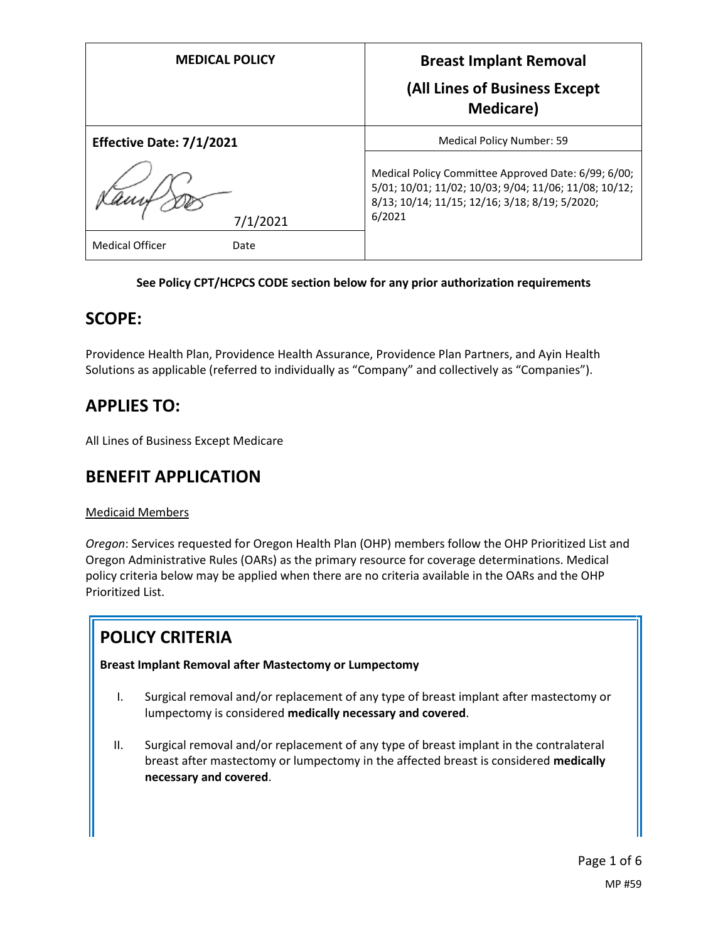| <b>MEDICAL POLICY</b>          | <b>Breast Implant Removal</b><br>(All Lines of Business Except<br><b>Medicare</b> )                                                                                      |
|--------------------------------|--------------------------------------------------------------------------------------------------------------------------------------------------------------------------|
| Effective Date: 7/1/2021       | Medical Policy Number: 59                                                                                                                                                |
| 7/1/2021                       | Medical Policy Committee Approved Date: 6/99; 6/00;<br>5/01; 10/01; 11/02; 10/03; 9/04; 11/06; 11/08; 10/12;<br>8/13; 10/14; 11/15; 12/16; 3/18; 8/19; 5/2020;<br>6/2021 |
| <b>Medical Officer</b><br>Date |                                                                                                                                                                          |

#### **See Policy CPT/HCPCS CODE section below for any prior authorization requirements**

### **SCOPE:**

Providence Health Plan, Providence Health Assurance, Providence Plan Partners, and Ayin Health Solutions as applicable (referred to individually as "Company" and collectively as "Companies").

# **APPLIES TO:**

All Lines of Business Except Medicare

### **BENEFIT APPLICATION**

### Medicaid Members

*Oregon*: Services requested for Oregon Health Plan (OHP) members follow the OHP Prioritized List and Oregon Administrative Rules (OARs) as the primary resource for coverage determinations. Medical policy criteria below may be applied when there are no criteria available in the OARs and the OHP Prioritized List.

## **POLICY CRITERIA**

**Breast Implant Removal after Mastectomy or Lumpectomy**

- I. Surgical removal and/or replacement of any type of breast implant after mastectomy or lumpectomy is considered **medically necessary and covered**.
- II. Surgical removal and/or replacement of any type of breast implant in the contralateral breast after mastectomy or lumpectomy in the affected breast is considered **medically necessary and covered**.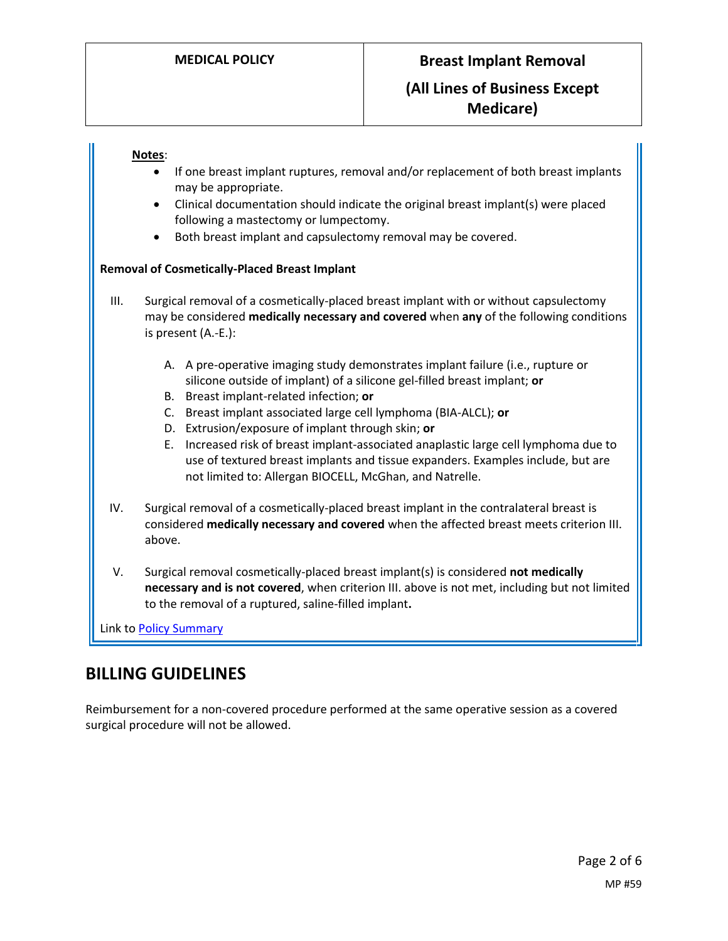#### **Notes**:

- If one breast implant ruptures, removal and/or replacement of both breast implants may be appropriate.
- Clinical documentation should indicate the original breast implant(s) were placed following a mastectomy or lumpectomy.
- Both breast implant and capsulectomy removal may be covered.

#### **Removal of Cosmetically-Placed Breast Implant**

- III. Surgical removal of a cosmetically-placed breast implant with or without capsulectomy may be considered **medically necessary and covered** when **any** of the following conditions is present (A.-E.):
	- A. A pre-operative imaging study demonstrates implant failure (i.e., rupture or silicone outside of implant) of a silicone gel-filled breast implant; **or**
	- B. Breast implant-related infection; **or**
	- C. Breast implant associated large cell lymphoma (BIA-ALCL); **or**
	- D. Extrusion/exposure of implant through skin; **or**
	- E. Increased risk of breast implant-associated anaplastic large cell lymphoma due to use of textured breast implants and tissue expanders. Examples include, but are not limited to: Allergan BIOCELL, McGhan, and Natrelle.
- IV. Surgical removal of a cosmetically-placed breast implant in the contralateral breast is considered **medically necessary and covered** when the affected breast meets criterion III. above.
- V. Surgical removal cosmetically-placed breast implant(s) is considered **not medically necessary and is not covered**, when criterion III. above is not met, including but not limited to the removal of a ruptured, saline-filled implant**.**

Link t[o Policy Summary](#page-4-0)

## **BILLING GUIDELINES**

Reimbursement for a non-covered procedure performed at the same operative session as a covered surgical procedure will not be allowed.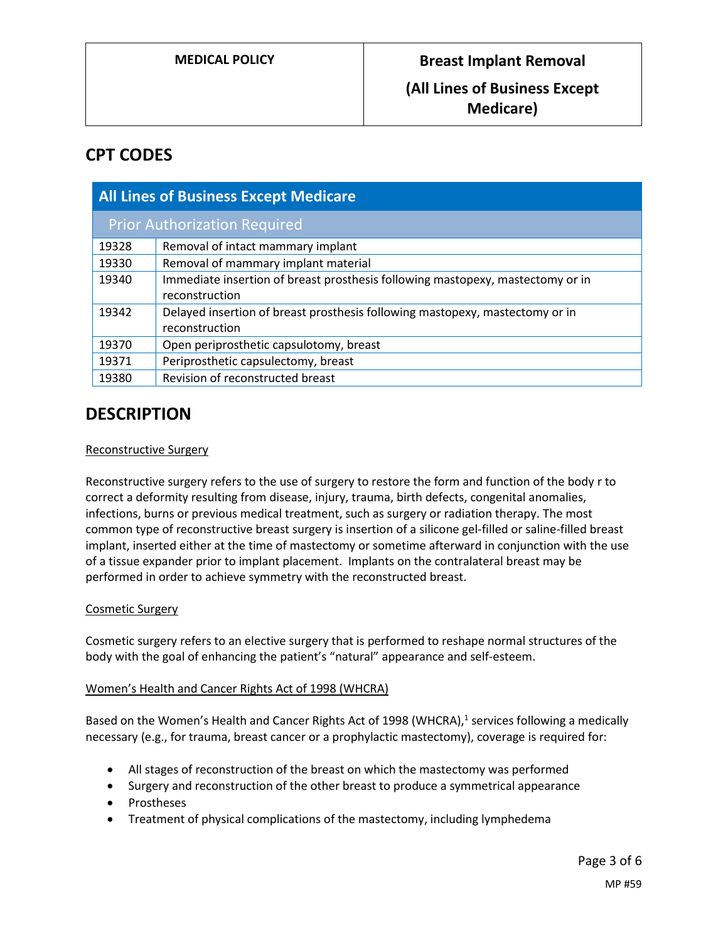### **Medicare)**

## **CPT CODES**

| <b>All Lines of Business Except Medicare</b> |                                                                                |
|----------------------------------------------|--------------------------------------------------------------------------------|
| <b>Prior Authorization Required</b>          |                                                                                |
| 19328                                        | Removal of intact mammary implant                                              |
| 19330                                        | Removal of mammary implant material                                            |
| 19340                                        | Immediate insertion of breast prosthesis following mastopexy, mastectomy or in |
|                                              | reconstruction                                                                 |
| 19342                                        | Delayed insertion of breast prosthesis following mastopexy, mastectomy or in   |
|                                              | reconstruction                                                                 |
| 19370                                        | Open periprosthetic capsulotomy, breast                                        |
| 19371                                        | Periprosthetic capsulectomy, breast                                            |
| 19380                                        | Revision of reconstructed breast                                               |

### **DESCRIPTION**

#### Reconstructive Surgery

Reconstructive surgery refers to the use of surgery to restore the form and function of the body r to correct a deformity resulting from disease, injury, trauma, birth defects, congenital anomalies, infections, burns or previous medical treatment, such as surgery or radiation therapy. The most common type of reconstructive breast surgery is insertion of a silicone gel-filled or saline-filled breast implant, inserted either at the time of mastectomy or sometime afterward in conjunction with the use of a tissue expander prior to implant placement. Implants on the contralateral breast may be performed in order to achieve symmetry with the reconstructed breast.

#### Cosmetic Surgery

Cosmetic surgery refers to an elective surgery that is performed to reshape normal structures of the body with the goal of enhancing the patient's "natural" appearance and self-esteem.

#### Women's Health and Cancer Rights Act of 1998 (WHCRA)

Based on the Women's Health and Cancer Rights Act of 1998 (WHCRA),<sup>1</sup> services following a medically necessary (e.g., for trauma, breast cancer or a prophylactic mastectomy), coverage is required for:

- All stages of reconstruction of the breast on which the mastectomy was performed
- Surgery and reconstruction of the other breast to produce a symmetrical appearance
- Prostheses
- Treatment of physical complications of the mastectomy, including lymphedema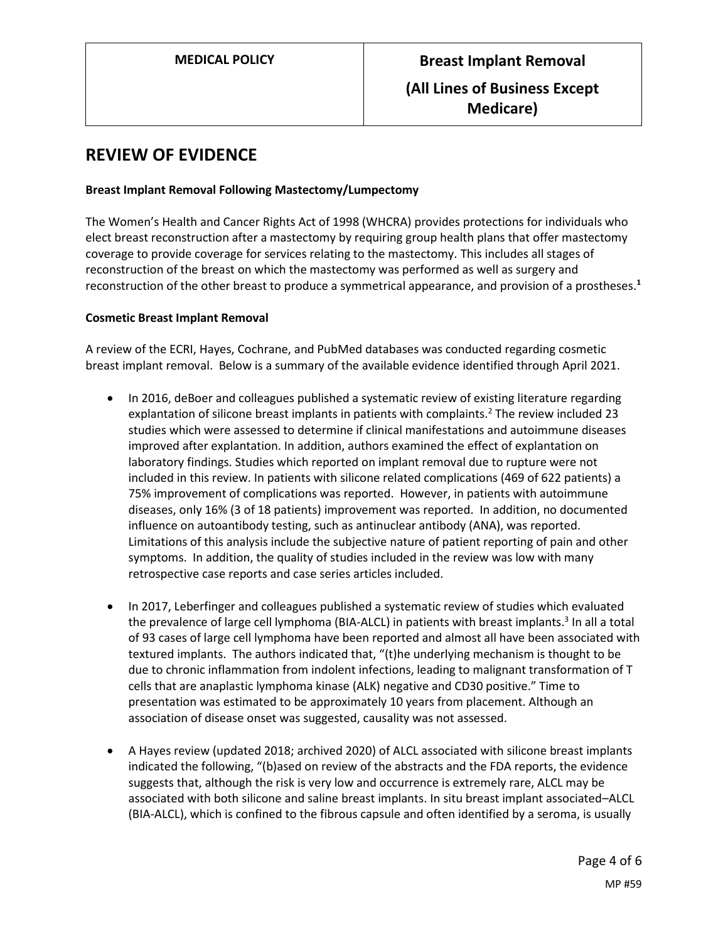### **REVIEW OF EVIDENCE**

#### **Breast Implant Removal Following Mastectomy/Lumpectomy**

The Women's Health and Cancer Rights Act of 1998 (WHCRA) provides protections for individuals who elect breast reconstruction after a mastectomy by requiring group health plans that offer mastectomy coverage to provide coverage for services relating to the mastectomy. This includes all stages of reconstruction of the breast on which the mastectomy was performed as well as surgery and reconstruction of the other breast to produce a symmetrical appearance, and provision of a prostheses.**<sup>1</sup>**

#### **Cosmetic Breast Implant Removal**

A review of the ECRI, Hayes, Cochrane, and PubMed databases was conducted regarding cosmetic breast implant removal. Below is a summary of the available evidence identified through April 2021.

- In 2016, deBoer and colleagues published a systematic review of existing literature regarding explantation of silicone breast implants in patients with complaints.<sup>2</sup> The review included 23 studies which were assessed to determine if clinical manifestations and autoimmune diseases improved after explantation. In addition, authors examined the effect of explantation on laboratory findings. Studies which reported on implant removal due to rupture were not included in this review. In patients with silicone related complications (469 of 622 patients) a 75% improvement of complications was reported. However, in patients with autoimmune diseases, only 16% (3 of 18 patients) improvement was reported. In addition, no documented influence on autoantibody testing, such as antinuclear antibody (ANA), was reported. Limitations of this analysis include the subjective nature of patient reporting of pain and other symptoms. In addition, the quality of studies included in the review was low with many retrospective case reports and case series articles included.
- In 2017, Leberfinger and colleagues published a systematic review of studies which evaluated the prevalence of large cell lymphoma (BIA-ALCL) in patients with breast implants.<sup>3</sup> In all a total of 93 cases of large cell lymphoma have been reported and almost all have been associated with textured implants. The authors indicated that, "(t)he underlying mechanism is thought to be due to chronic inflammation from indolent infections, leading to malignant transformation of T cells that are anaplastic lymphoma kinase (ALK) negative and CD30 positive." Time to presentation was estimated to be approximately 10 years from placement. Although an association of disease onset was suggested, causality was not assessed.
- A Hayes review (updated 2018; archived 2020) of ALCL associated with silicone breast implants indicated the following, "(b)ased on review of the abstracts and the FDA reports, the evidence suggests that, although the risk is very low and occurrence is extremely rare, ALCL may be associated with both silicone and saline breast implants. In situ breast implant associated–ALCL (BIA-ALCL), which is confined to the fibrous capsule and often identified by a seroma, is usually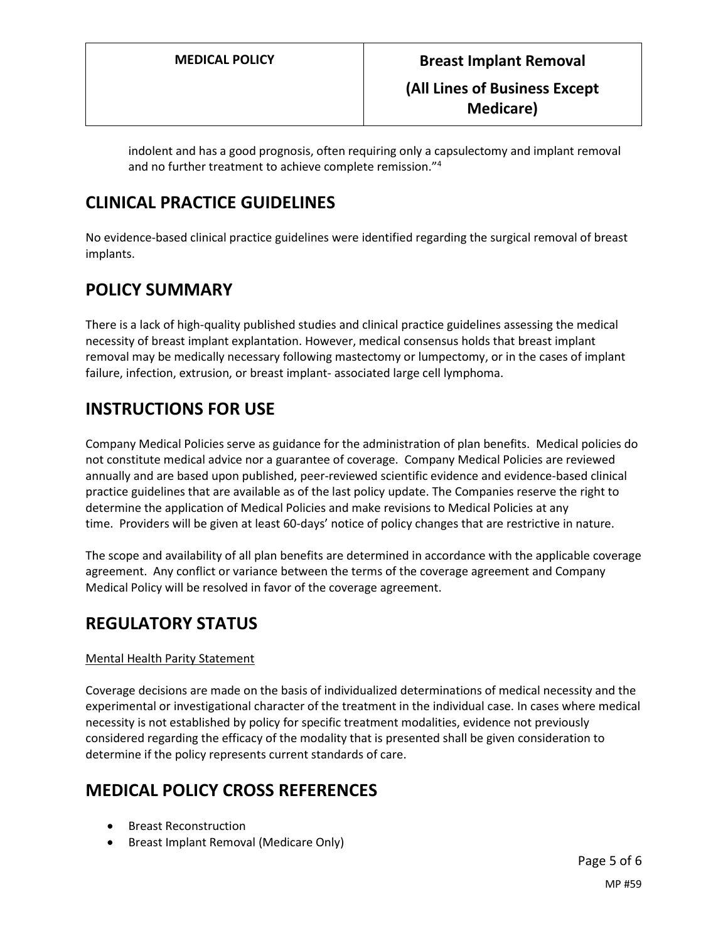indolent and has a good prognosis, often requiring only a capsulectomy and implant removal and no further treatment to achieve complete remission."<sup>4</sup>

### **CLINICAL PRACTICE GUIDELINES**

No evidence-based clinical practice guidelines were identified regarding the surgical removal of breast implants.

## <span id="page-4-0"></span>**POLICY SUMMARY**

There is a lack of high-quality published studies and clinical practice guidelines assessing the medical necessity of breast implant explantation. However, medical consensus holds that breast implant removal may be medically necessary following mastectomy or lumpectomy, or in the cases of implant failure, infection, extrusion, or breast implant- associated large cell lymphoma.

## **INSTRUCTIONS FOR USE**

Company Medical Policies serve as guidance for the administration of plan benefits. Medical policies do not constitute medical advice nor a guarantee of coverage. Company Medical Policies are reviewed annually and are based upon published, peer-reviewed scientific evidence and evidence-based clinical practice guidelines that are available as of the last policy update. The Companies reserve the right to determine the application of Medical Policies and make revisions to Medical Policies at any time. Providers will be given at least 60-days' notice of policy changes that are restrictive in nature.

The scope and availability of all plan benefits are determined in accordance with the applicable coverage agreement. Any conflict or variance between the terms of the coverage agreement and Company Medical Policy will be resolved in favor of the coverage agreement.

# **REGULATORY STATUS**

### Mental Health Parity Statement

Coverage decisions are made on the basis of individualized determinations of medical necessity and the experimental or investigational character of the treatment in the individual case. In cases where medical necessity is not established by policy for specific treatment modalities, evidence not previously considered regarding the efficacy of the modality that is presented shall be given consideration to determine if the policy represents current standards of care.

## **MEDICAL POLICY CROSS REFERENCES**

- Breast Reconstruction
- Breast Implant Removal (Medicare Only)